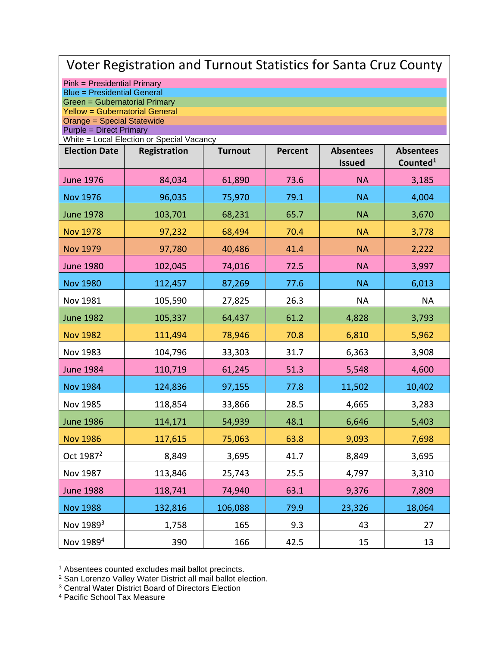| Voter Registration and Turnout Statistics for Santa Cruz County     |                                           |                |         |                  |                      |  |
|---------------------------------------------------------------------|-------------------------------------------|----------------|---------|------------------|----------------------|--|
| Pink = Presidential Primary                                         |                                           |                |         |                  |                      |  |
| <b>Blue = Presidential General</b><br>Green = Gubernatorial Primary |                                           |                |         |                  |                      |  |
| <b>Yellow = Gubernatorial General</b><br>Orange = Special Statewide |                                           |                |         |                  |                      |  |
| <b>Purple = Direct Primary</b>                                      | White = Local Election or Special Vacancy |                |         |                  |                      |  |
| <b>Election Date</b>                                                | Registration                              | <b>Turnout</b> | Percent | <b>Absentees</b> | <b>Absentees</b>     |  |
|                                                                     |                                           |                |         | <b>Issued</b>    | Counted <sup>1</sup> |  |
| <b>June 1976</b>                                                    | 84,034                                    | 61,890         | 73.6    | <b>NA</b>        | 3,185                |  |
| <b>Nov 1976</b>                                                     | 96,035                                    | 75,970         | 79.1    | <b>NA</b>        | 4,004                |  |
| <b>June 1978</b>                                                    | 103,701                                   | 68,231         | 65.7    | <b>NA</b>        | 3,670                |  |
| <b>Nov 1978</b>                                                     | 97,232                                    | 68,494         | 70.4    | <b>NA</b>        | 3,778                |  |
| <b>Nov 1979</b>                                                     | 97,780                                    | 40,486         | 41.4    | <b>NA</b>        | 2,222                |  |
| <b>June 1980</b>                                                    | 102,045                                   | 74,016         | 72.5    | <b>NA</b>        | 3,997                |  |
| <b>Nov 1980</b>                                                     | 112,457                                   | 87,269         | 77.6    | <b>NA</b>        | 6,013                |  |
| Nov 1981                                                            | 105,590                                   | 27,825         | 26.3    | <b>NA</b>        | <b>NA</b>            |  |
| <b>June 1982</b>                                                    | 105,337                                   | 64,437         | 61.2    | 4,828            | 3,793                |  |
| <b>Nov 1982</b>                                                     | 111,494                                   | 78,946         | 70.8    | 6,810            | 5,962                |  |
| Nov 1983                                                            | 104,796                                   | 33,303         | 31.7    | 6,363            | 3,908                |  |
| <b>June 1984</b>                                                    | 110,719                                   | 61,245         | 51.3    | 5,548            | 4,600                |  |
| <b>Nov 1984</b>                                                     | 124,836                                   | 97,155         | 77.8    | 11,502           | 10,402               |  |
| Nov 1985                                                            | 118,854                                   | 33,866         | 28.5    | 4,665            | 3,283                |  |
| <b>June 1986</b>                                                    | 114,171                                   | 54,939         | 48.1    | 6,646            | 5,403                |  |
| <b>Nov 1986</b>                                                     | 117,615                                   | 75,063         | 63.8    | 9,093            | 7,698                |  |
| Oct 1987 <sup>2</sup>                                               | 8,849                                     | 3,695          | 41.7    | 8,849            | 3,695                |  |
| Nov 1987                                                            | 113,846                                   | 25,743         | 25.5    | 4,797            | 3,310                |  |
| <b>June 1988</b>                                                    | 118,741                                   | 74,940         | 63.1    | 9,376            | 7,809                |  |
| <b>Nov 1988</b>                                                     | 132,816                                   | 106,088        | 79.9    | 23,326           | 18,064               |  |
| Nov 1989 <sup>3</sup>                                               | 1,758                                     | 165            | 9.3     | 43               | 27                   |  |
| Nov 1989 <sup>4</sup>                                               | 390                                       | 166            | 42.5    | 15               | 13                   |  |

<sup>&</sup>lt;sup>1</sup> Absentees counted excludes mail ballot precincts.

<sup>&</sup>lt;sup>2</sup> San Lorenzo Valley Water District all mail ballot election.

<sup>3</sup> Central Water District Board of Directors Election

<sup>4</sup> Pacific School Tax Measure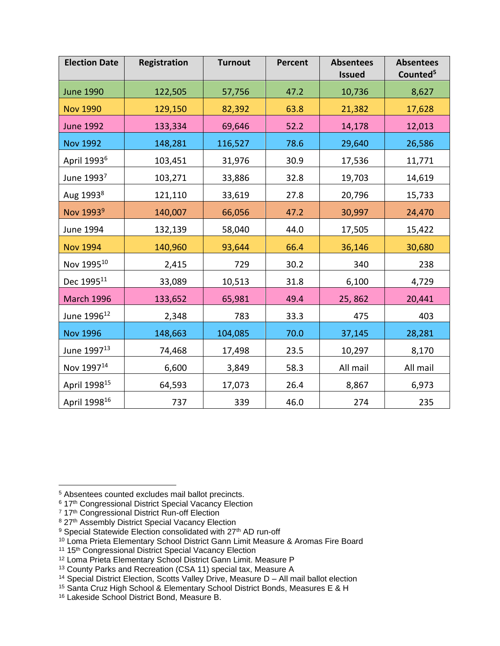| <b>Election Date</b>     | Registration | <b>Turnout</b> | <b>Percent</b> | <b>Absentees</b><br><b>Issued</b> | <b>Absentees</b><br>Counted <sup>5</sup> |
|--------------------------|--------------|----------------|----------------|-----------------------------------|------------------------------------------|
| <b>June 1990</b>         | 122,505      | 57,756         | 47.2           | 10,736                            | 8,627                                    |
| <b>Nov 1990</b>          | 129,150      | 82,392         | 63.8           | 21,382                            | 17,628                                   |
| <b>June 1992</b>         | 133,334      | 69,646         | 52.2           | 14,178                            | 12,013                                   |
| <b>Nov 1992</b>          | 148,281      | 116,527        | 78.6           | 29,640                            | 26,586                                   |
| April 1993 <sup>6</sup>  | 103,451      | 31,976         | 30.9           | 17,536                            | 11,771                                   |
| June 19937               | 103,271      | 33,886         | 32.8           | 19,703                            | 14,619                                   |
| Aug 1993 <sup>8</sup>    | 121,110      | 33,619         | 27.8           | 20,796                            | 15,733                                   |
| Nov 1993 <sup>9</sup>    | 140,007      | 66,056         | 47.2           | 30,997                            | 24,470                                   |
| June 1994                | 132,139      | 58,040         | 44.0           | 17,505                            | 15,422                                   |
| <b>Nov 1994</b>          | 140,960      | 93,644         | 66.4           | 36,146                            | 30,680                                   |
| Nov 199510               | 2,415        | 729            | 30.2           | 340                               | 238                                      |
| Dec 1995 <sup>11</sup>   | 33,089       | 10,513         | 31.8           | 6,100                             | 4,729                                    |
| <b>March 1996</b>        | 133,652      | 65,981         | 49.4           | 25,862                            | 20,441                                   |
| June 1996 <sup>12</sup>  | 2,348        | 783            | 33.3           | 475                               | 403                                      |
| <b>Nov 1996</b>          | 148,663      | 104,085        | 70.0           | 37,145                            | 28,281                                   |
| June 1997 <sup>13</sup>  | 74,468       | 17,498         | 23.5           | 10,297                            | 8,170                                    |
| Nov 1997 <sup>14</sup>   | 6,600        | 3,849          | 58.3           | All mail                          | All mail                                 |
| April 1998 <sup>15</sup> | 64,593       | 17,073         | 26.4           | 8,867                             | 6,973                                    |
| April 1998 <sup>16</sup> | 737          | 339            | 46.0           | 274                               | 235                                      |

<sup>5</sup> Absentees counted excludes mail ballot precincts.

<sup>&</sup>lt;sup>6</sup> 17<sup>th</sup> Congressional District Special Vacancy Election

<sup>&</sup>lt;sup>7</sup> 17<sup>th</sup> Congressional District Run-off Election

<sup>8 27</sup>th Assembly District Special Vacancy Election

<sup>&</sup>lt;sup>9</sup> Special Statewide Election consolidated with 27<sup>th</sup> AD run-off

<sup>&</sup>lt;sup>10</sup> Loma Prieta Elementary School District Gann Limit Measure & Aromas Fire Board

<sup>&</sup>lt;sup>11</sup> 15<sup>th</sup> Congressional District Special Vacancy Election

<sup>12</sup> Loma Prieta Elementary School District Gann Limit. Measure P

<sup>&</sup>lt;sup>13</sup> County Parks and Recreation (CSA 11) special tax, Measure A

<sup>&</sup>lt;sup>14</sup> Special District Election, Scotts Valley Drive, Measure D - All mail ballot election

<sup>15</sup> Santa Cruz High School & Elementary School District Bonds, Measures E & H

<sup>16</sup> Lakeside School District Bond, Measure B.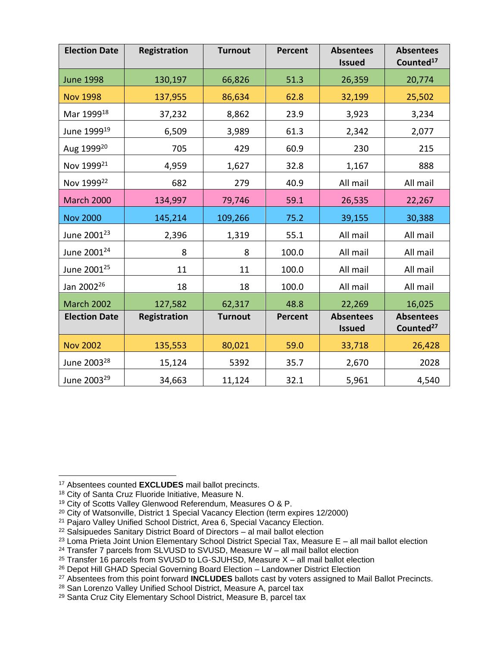| <b>Election Date</b>    | Registration | <b>Turnout</b> | <b>Percent</b> | <b>Absentees</b><br><b>Issued</b> | <b>Absentees</b><br>Counted <sup>17</sup> |
|-------------------------|--------------|----------------|----------------|-----------------------------------|-------------------------------------------|
| <b>June 1998</b>        | 130,197      | 66,826         | 51.3           | 26,359                            | 20,774                                    |
| <b>Nov 1998</b>         | 137,955      | 86,634         | 62.8           | 32,199                            | 25,502                                    |
| Mar 1999 <sup>18</sup>  | 37,232       | 8,862          | 23.9           | 3,923                             | 3,234                                     |
| June 1999 <sup>19</sup> | 6,509        | 3,989          | 61.3           | 2,342                             | 2,077                                     |
| Aug 1999 <sup>20</sup>  | 705          | 429            | 60.9           | 230                               | 215                                       |
| Nov 1999 <sup>21</sup>  | 4,959        | 1,627          | 32.8           | 1,167                             | 888                                       |
| Nov 1999 <sup>22</sup>  | 682          | 279            | 40.9           | All mail                          | All mail                                  |
| <b>March 2000</b>       | 134,997      | 79,746         | 59.1           | 26,535                            | 22,267                                    |
| <b>Nov 2000</b>         | 145,214      | 109,266        | 75.2           | 39,155                            | 30,388                                    |
| June 2001 <sup>23</sup> | 2,396        | 1,319          | 55.1           | All mail                          | All mail                                  |
| June 2001 <sup>24</sup> | 8            | 8              | 100.0          | All mail                          | All mail                                  |
| June 2001 <sup>25</sup> | 11           | 11             | 100.0          | All mail                          | All mail                                  |
| Jan 2002 <sup>26</sup>  | 18           | 18             | 100.0          | All mail                          | All mail                                  |
| <b>March 2002</b>       | 127,582      | 62,317         | 48.8           | 22,269                            | 16,025                                    |
| <b>Election Date</b>    | Registration | <b>Turnout</b> | <b>Percent</b> | <b>Absentees</b><br><b>Issued</b> | <b>Absentees</b><br>Counted <sup>27</sup> |
| <b>Nov 2002</b>         | 135,553      | 80,021         | 59.0           | 33,718                            | 26,428                                    |
| June 2003 <sup>28</sup> | 15,124       | 5392           | 35.7           | 2,670                             | 2028                                      |
| June 2003 <sup>29</sup> | 34,663       | 11,124         | 32.1           | 5,961                             | 4,540                                     |

- <sup>20</sup> City of Watsonville, District 1 Special Vacancy Election (term expires 12/2000)
- <sup>21</sup> Pajaro Valley Unified School District, Area 6, Special Vacancy Election.
- <sup>22</sup> Salsipuedes Sanitary District Board of Directors al mail ballot election

<sup>17</sup> Absentees counted **EXCLUDES** mail ballot precincts.

<sup>18</sup> City of Santa Cruz Fluoride Initiative, Measure N.

<sup>19</sup> City of Scotts Valley Glenwood Referendum, Measures O & P.

 $23$  Loma Prieta Joint Union Elementary School District Special Tax, Measure E – all mail ballot election

 $24$  Transfer 7 parcels from SLVUSD to SVUSD, Measure W – all mail ballot election

<sup>25</sup> Transfer 16 parcels from SVUSD to LG-SJUHSD, Measure X – all mail ballot election

<sup>26</sup> Depot Hill GHAD Special Governing Board Election – Landowner District Election

<sup>27</sup> Absentees from this point forward **INCLUDES** ballots cast by voters assigned to Mail Ballot Precincts.

<sup>&</sup>lt;sup>28</sup> San Lorenzo Valley Unified School District, Measure A, parcel tax

<sup>29</sup> Santa Cruz City Elementary School District, Measure B, parcel tax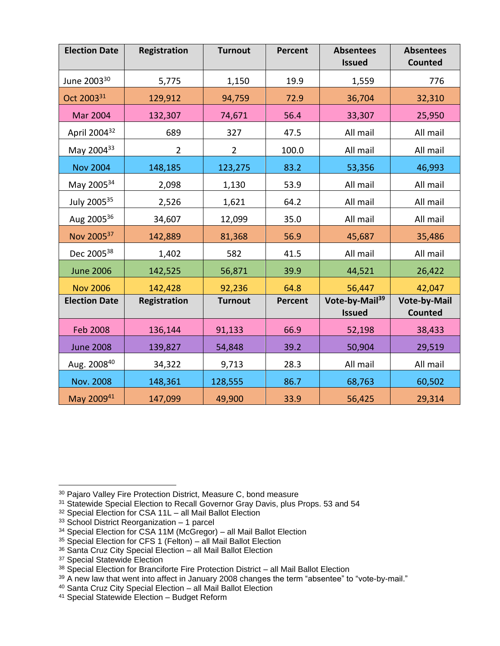| <b>Election Date</b>     | Registration   | <b>Turnout</b> | <b>Percent</b> | <b>Absentees</b><br><b>Issued</b>           | <b>Absentees</b><br><b>Counted</b>    |
|--------------------------|----------------|----------------|----------------|---------------------------------------------|---------------------------------------|
| June 2003 <sup>30</sup>  | 5,775          | 1,150          | 19.9           | 1,559                                       | 776                                   |
| Oct 2003 <sup>31</sup>   | 129,912        | 94,759         | 72.9           | 36,704                                      | 32,310                                |
| <b>Mar 2004</b>          | 132,307        | 74,671         | 56.4           | 33,307                                      | 25,950                                |
| April 2004 <sup>32</sup> | 689            | 327            | 47.5           | All mail                                    | All mail                              |
| May 200433               | $\overline{2}$ | $\overline{2}$ | 100.0          | All mail                                    | All mail                              |
| <b>Nov 2004</b>          | 148,185        | 123,275        | 83.2           | 53,356                                      | 46,993                                |
| May 200534               | 2,098          | 1,130          | 53.9           | All mail                                    | All mail                              |
| July 200535              | 2,526          | 1,621          | 64.2           | All mail                                    | All mail                              |
| Aug 200536               | 34,607         | 12,099         | 35.0           | All mail                                    | All mail                              |
| Nov 200537               | 142,889        | 81,368         | 56.9           | 45,687                                      | 35,486                                |
| Dec 2005 <sup>38</sup>   | 1,402          | 582            | 41.5           | All mail                                    | All mail                              |
| <b>June 2006</b>         | 142,525        | 56,871         | 39.9           | 44,521                                      | 26,422                                |
| <b>Nov 2006</b>          | 142,428        | 92,236         | 64.8           | 56,447                                      | 42,047                                |
| <b>Election Date</b>     | Registration   | <b>Turnout</b> | <b>Percent</b> | Vote-by-Mail <sup>39</sup><br><b>Issued</b> | <b>Vote-by-Mail</b><br><b>Counted</b> |
| <b>Feb 2008</b>          | 136,144        | 91,133         | 66.9           | 52,198                                      | 38,433                                |
| <b>June 2008</b>         | 139,827        | 54,848         | 39.2           | 50,904                                      | 29,519                                |
| Aug. 200840              | 34,322         | 9,713          | 28.3           | All mail                                    | All mail                              |
| Nov. 2008                | 148,361        | 128,555        | 86.7           | 68,763                                      | 60,502                                |
| May 200941               | 147,099        | 49,900         | 33.9           | 56,425                                      | 29,314                                |

<sup>30</sup> Pajaro Valley Fire Protection District, Measure C, bond measure

- <sup>31</sup> Statewide Special Election to Recall Governor Gray Davis, plus Props. 53 and 54
- <sup>32</sup> Special Election for CSA 11L all Mail Ballot Election
- <sup>33</sup> School District Reorganization 1 parcel
- <sup>34</sup> Special Election for CSA 11M (McGregor) all Mail Ballot Election
- <sup>35</sup> Special Election for CFS 1 (Felton) all Mail Ballot Election
- 36 Santa Cruz City Special Election all Mail Ballot Election
- <sup>37</sup> Special Statewide Election

 $39$  A new law that went into affect in January 2008 changes the term "absentee" to "vote-by-mail."

<sup>41</sup> Special Statewide Election – Budget Reform

<sup>38</sup> Special Election for Branciforte Fire Protection District – all Mail Ballot Election

<sup>40</sup> Santa Cruz City Special Election – all Mail Ballot Election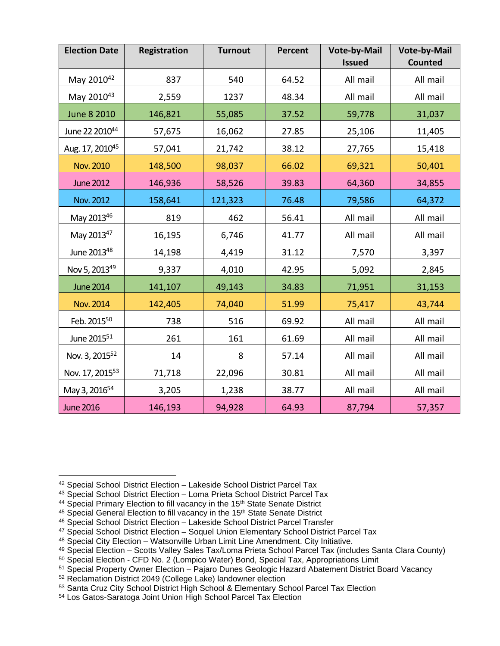| <b>Election Date</b>        | Registration | <b>Turnout</b> | <b>Percent</b> | Vote-by-Mail<br><b>Issued</b> | Vote-by-Mail<br><b>Counted</b> |
|-----------------------------|--------------|----------------|----------------|-------------------------------|--------------------------------|
| May 201042                  | 837          | 540            | 64.52          | All mail                      | All mail                       |
| May 201043                  | 2,559        | 1237           | 48.34          | All mail                      | All mail                       |
| <b>June 8 2010</b>          | 146,821      | 55,085         | 37.52          | 59,778                        | 31,037                         |
| June 22 201044              | 57,675       | 16,062         | 27.85          | 25,106                        | 11,405                         |
| Aug. 17, 2010 <sup>45</sup> | 57,041       | 21,742         | 38.12          | 27,765                        | 15,418                         |
| <b>Nov. 2010</b>            | 148,500      | 98,037         | 66.02          | 69,321                        | 50,401                         |
| <b>June 2012</b>            | 146,936      | 58,526         | 39.83          | 64,360                        | 34,855                         |
| Nov. 2012                   | 158,641      | 121,323        | 76.48          | 79,586                        | 64,372                         |
| May 201346                  | 819          | 462            | 56.41          | All mail                      | All mail                       |
| May 2013 <sup>47</sup>      | 16,195       | 6,746          | 41.77          | All mail                      | All mail                       |
| June 201348                 | 14,198       | 4,419          | 31.12          | 7,570                         | 3,397                          |
| Nov 5, 2013 <sup>49</sup>   | 9,337        | 4,010          | 42.95          | 5,092                         | 2,845                          |
| <b>June 2014</b>            | 141,107      | 49,143         | 34.83          | 71,951                        | 31,153                         |
| <b>Nov. 2014</b>            | 142,405      | 74,040         | 51.99          | 75,417                        | 43,744                         |
| Feb. 2015 <sup>50</sup>     | 738          | 516            | 69.92          | All mail                      | All mail                       |
| June 2015 <sup>51</sup>     | 261          | 161            | 61.69          | All mail                      | All mail                       |
| Nov. 3, 2015 <sup>52</sup>  | 14           | 8              | 57.14          | All mail                      | All mail                       |
| Nov. 17, 2015 <sup>53</sup> | 71,718       | 22,096         | 30.81          | All mail                      | All mail                       |
| May 3, 2016 <sup>54</sup>   | 3,205        | 1,238          | 38.77          | All mail                      | All mail                       |
| <b>June 2016</b>            | 146,193      | 94,928         | 64.93          | 87,794                        | 57,357                         |

<sup>42</sup> Special School District Election – Lakeside School District Parcel Tax

<sup>43</sup> Special School District Election – Loma Prieta School District Parcel Tax

<sup>&</sup>lt;sup>44</sup> Special Primary Election to fill vacancy in the 15<sup>th</sup> State Senate District

<sup>&</sup>lt;sup>45</sup> Special General Election to fill vacancy in the 15<sup>th</sup> State Senate District

<sup>46</sup> Special School District Election – Lakeside School District Parcel Transfer

<sup>&</sup>lt;sup>47</sup> Special School District Election - Soquel Union Elementary School District Parcel Tax

<sup>48</sup> Special City Election – Watsonville Urban Limit Line Amendment. City Initiative.

<sup>49</sup> Special Election – Scotts Valley Sales Tax/Loma Prieta School Parcel Tax (includes Santa Clara County)

<sup>50</sup> Special Election - CFD No. 2 (Lompico Water) Bond, Special Tax, Appropriations Limit

<sup>51</sup> Special Property Owner Election – Pajaro Dunes Geologic Hazard Abatement District Board Vacancy

<sup>52</sup> Reclamation District 2049 (College Lake) landowner election

<sup>53</sup> Santa Cruz City School District High School & Elementary School Parcel Tax Election

<sup>54</sup> Los Gatos-Saratoga Joint Union High School Parcel Tax Election